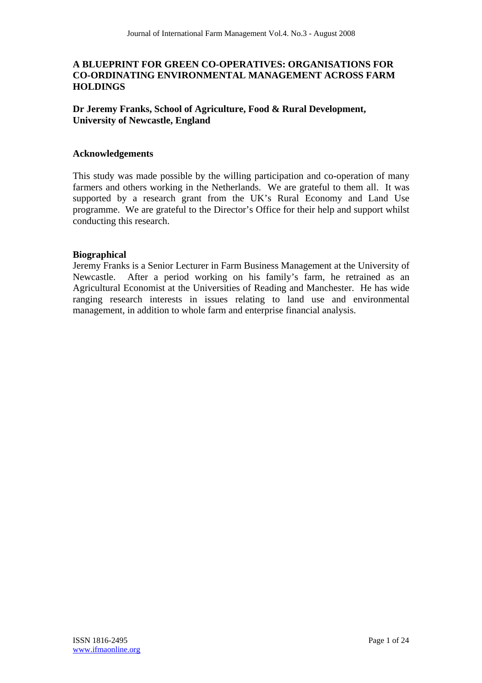# **A BLUEPRINT FOR GREEN CO-OPERATIVES: ORGANISATIONS FOR CO-ORDINATING ENVIRONMENTAL MANAGEMENT ACROSS FARM HOLDINGS**

# **Dr Jeremy Franks, School of Agriculture, Food & Rural Development, University of Newcastle, England**

#### **Acknowledgements**

This study was made possible by the willing participation and co-operation of many farmers and others working in the Netherlands. We are grateful to them all. It was supported by a research grant from the UK's Rural Economy and Land Use programme. We are grateful to the Director's Office for their help and support whilst conducting this research.

## **Biographical**

Jeremy Franks is a Senior Lecturer in Farm Business Management at the University of Newcastle. After a period working on his family's farm, he retrained as an Agricultural Economist at the Universities of Reading and Manchester. He has wide ranging research interests in issues relating to land use and environmental management, in addition to whole farm and enterprise financial analysis.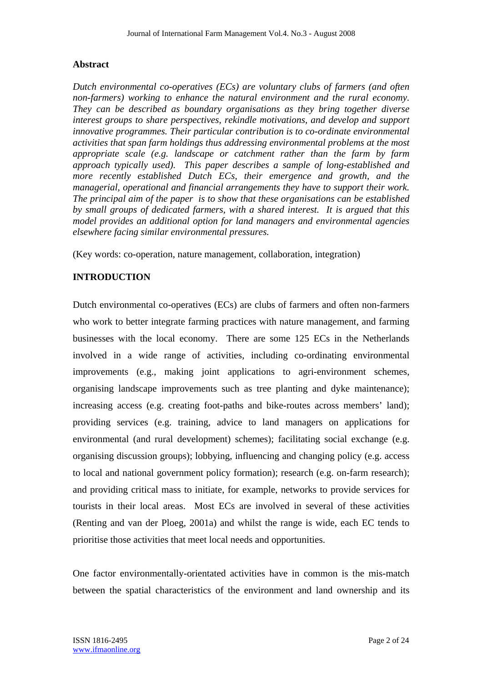# **Abstract**

*Dutch environmental co-operatives (ECs) are voluntary clubs of farmers (and often non-farmers) working to enhance the natural environment and the rural economy. They can be described as boundary organisations as they bring together diverse interest groups to share perspectives, rekindle motivations, and develop and support innovative programmes. Their particular contribution is to co-ordinate environmental activities that span farm holdings thus addressing environmental problems at the most appropriate scale (e.g. landscape or catchment rather than the farm by farm approach typically used). This paper describes a sample of long-established and more recently established Dutch ECs, their emergence and growth, and the managerial, operational and financial arrangements they have to support their work. The principal aim of the paper is to show that these organisations can be established by small groups of dedicated farmers, with a shared interest. It is argued that this model provides an additional option for land managers and environmental agencies elsewhere facing similar environmental pressures.* 

(Key words: co-operation, nature management, collaboration, integration)

# **INTRODUCTION**

Dutch environmental co-operatives (ECs) are clubs of farmers and often non-farmers who work to better integrate farming practices with nature management, and farming businesses with the local economy. There are some 125 ECs in the Netherlands involved in a wide range of activities, including co-ordinating environmental improvements (e.g., making joint applications to agri-environment schemes, organising landscape improvements such as tree planting and dyke maintenance); increasing access (e.g. creating foot-paths and bike-routes across members' land); providing services (e.g. training, advice to land managers on applications for environmental (and rural development) schemes); facilitating social exchange (e.g. organising discussion groups); lobbying, influencing and changing policy (e.g. access to local and national government policy formation); research (e.g. on-farm research); and providing critical mass to initiate, for example, networks to provide services for tourists in their local areas. Most ECs are involved in several of these activities (Renting and van der Ploeg, 2001a) and whilst the range is wide, each EC tends to prioritise those activities that meet local needs and opportunities.

One factor environmentally-orientated activities have in common is the mis-match between the spatial characteristics of the environment and land ownership and its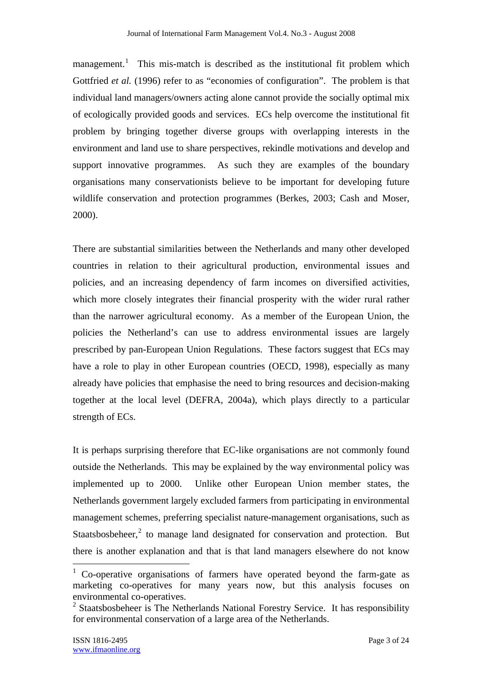management.<sup>1</sup> This mis-match is described as the institutional fit problem which Gottfried *et al.* (1996) refer to as "economies of configuration". The problem is that individual land managers/owners acting alone cannot provide the socially optimal mix of ecologically provided goods and services. ECs help overcome the institutional fit problem by bringing together diverse groups with overlapping interests in the environment and land use to share perspectives, rekindle motivations and develop and support innovative programmes. As such they are examples of the boundary organisations many conservationists believe to be important for developing future wildlife conservation and protection programmes (Berkes, 2003; Cash and Moser, 2000).

There are substantial similarities between the Netherlands and many other developed countries in relation to their agricultural production, environmental issues and policies, and an increasing dependency of farm incomes on diversified activities, which more closely integrates their financial prosperity with the wider rural rather than the narrower agricultural economy. As a member of the European Union, the policies the Netherland's can use to address environmental issues are largely prescribed by pan-European Union Regulations. These factors suggest that ECs may have a role to play in other European countries (OECD, 1998), especially as many already have policies that emphasise the need to bring resources and decision-making together at the local level (DEFRA, 2004a), which plays directly to a particular strength of ECs.

It is perhaps surprising therefore that EC-like organisations are not commonly found outside the Netherlands. This may be explained by the way environmental policy was implemented up to 2000. Unlike other European Union member states, the Netherlands government largely excluded farmers from participating in environmental management schemes, preferring specialist nature-management organisations, such as Staatsbosbeheer, $2$  to manage land designated for conservation and protection. But there is another explanation and that is that land managers elsewhere do not know

 $\overline{a}$ 

<sup>1</sup> Co-operative organisations of farmers have operated beyond the farm-gate as marketing co-operatives for many years now, but this analysis focuses on environmental co-operatives.

<sup>&</sup>lt;sup>2</sup> Staatsbosbeheer is The Netherlands National Forestry Service. It has responsibility for environmental conservation of a large area of the Netherlands.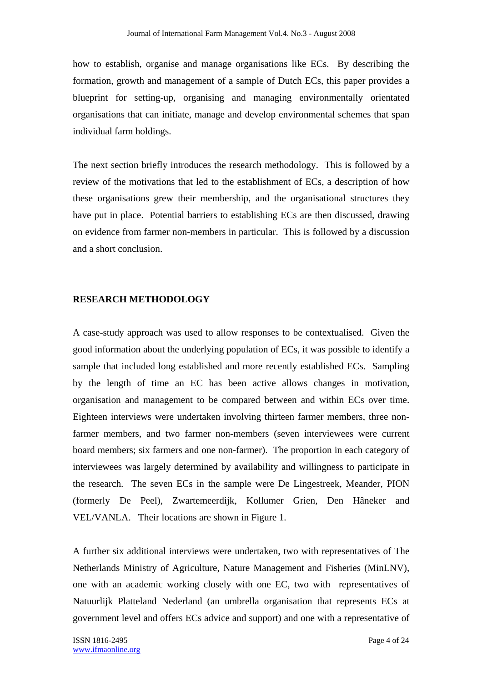how to establish, organise and manage organisations like ECs. By describing the formation, growth and management of a sample of Dutch ECs, this paper provides a blueprint for setting-up, organising and managing environmentally orientated organisations that can initiate, manage and develop environmental schemes that span individual farm holdings.

The next section briefly introduces the research methodology. This is followed by a review of the motivations that led to the establishment of ECs, a description of how these organisations grew their membership, and the organisational structures they have put in place. Potential barriers to establishing ECs are then discussed, drawing on evidence from farmer non-members in particular. This is followed by a discussion and a short conclusion.

## **RESEARCH METHODOLOGY**

A case-study approach was used to allow responses to be contextualised. Given the good information about the underlying population of ECs, it was possible to identify a sample that included long established and more recently established ECs. Sampling by the length of time an EC has been active allows changes in motivation, organisation and management to be compared between and within ECs over time. Eighteen interviews were undertaken involving thirteen farmer members, three nonfarmer members, and two farmer non-members (seven interviewees were current board members; six farmers and one non-farmer). The proportion in each category of interviewees was largely determined by availability and willingness to participate in the research. The seven ECs in the sample were De Lingestreek, Meander, PION (formerly De Peel), Zwartemeerdijk, Kollumer Grien, Den Hâneker and VEL/VANLA. Their locations are shown in Figure 1.

A further six additional interviews were undertaken, two with representatives of The Netherlands Ministry of Agriculture, Nature Management and Fisheries (MinLNV), one with an academic working closely with one EC, two with representatives of Natuurlijk Platteland Nederland (an umbrella organisation that represents ECs at government level and offers ECs advice and support) and one with a representative of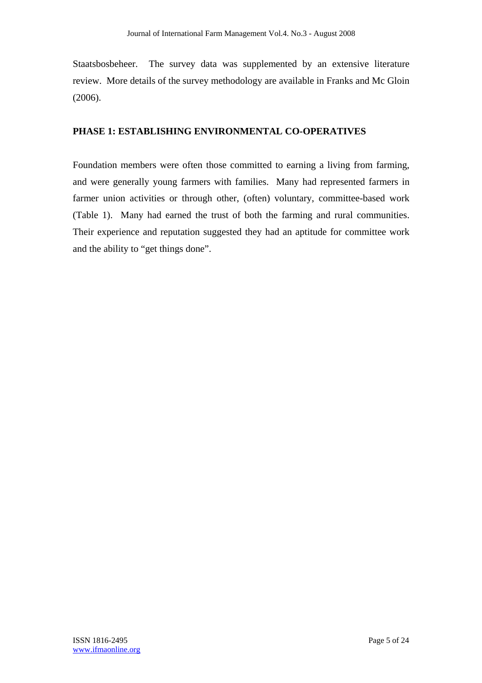Staatsbosbeheer. The survey data was supplemented by an extensive literature review. More details of the survey methodology are available in Franks and Mc Gloin (2006).

# **PHASE 1: ESTABLISHING ENVIRONMENTAL CO-OPERATIVES**

Foundation members were often those committed to earning a living from farming, and were generally young farmers with families. Many had represented farmers in farmer union activities or through other, (often) voluntary, committee-based work (Table 1). Many had earned the trust of both the farming and rural communities. Their experience and reputation suggested they had an aptitude for committee work and the ability to "get things done".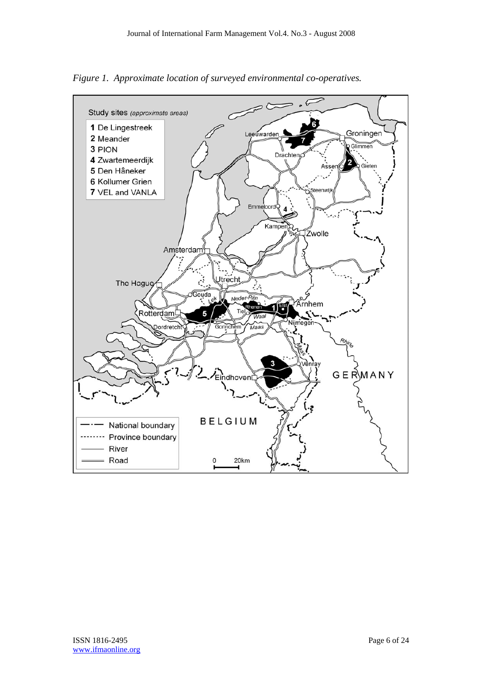*Figure 1. Approximate location of surveyed environmental co-operatives.* 

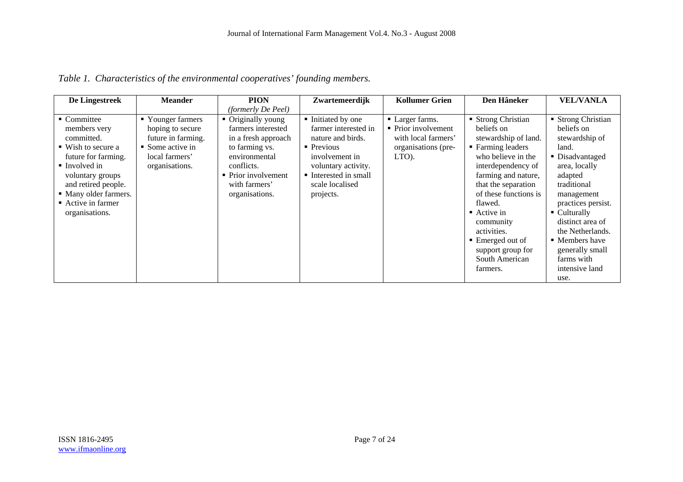|  |  | Table 1. Characteristics of the environmental cooperatives' founding members. |
|--|--|-------------------------------------------------------------------------------|
|  |  |                                                                               |

| De Lingestreek                                                                                                                                                                                                                                | <b>Meander</b>                                                                                                                   | <b>PION</b>                                                                                                                                                                | Zwartemeerdijk                                                                                                                                                                           | <b>Kollumer Grien</b>                                                                         | Den Hâneker                                                                                                                                                                                                                                                                                                                                | <b>VEL/VANLA</b>                                                                                                                                                                                                                                                                                                             |
|-----------------------------------------------------------------------------------------------------------------------------------------------------------------------------------------------------------------------------------------------|----------------------------------------------------------------------------------------------------------------------------------|----------------------------------------------------------------------------------------------------------------------------------------------------------------------------|------------------------------------------------------------------------------------------------------------------------------------------------------------------------------------------|-----------------------------------------------------------------------------------------------|--------------------------------------------------------------------------------------------------------------------------------------------------------------------------------------------------------------------------------------------------------------------------------------------------------------------------------------------|------------------------------------------------------------------------------------------------------------------------------------------------------------------------------------------------------------------------------------------------------------------------------------------------------------------------------|
|                                                                                                                                                                                                                                               |                                                                                                                                  | (formerly De Peel)                                                                                                                                                         |                                                                                                                                                                                          |                                                                                               |                                                                                                                                                                                                                                                                                                                                            |                                                                                                                                                                                                                                                                                                                              |
| • Committee<br>members very<br>committed.<br>$\blacksquare$ Wish to secure a<br>future for farming.<br>$\blacksquare$ Involved in<br>voluntary groups<br>and retired people.<br>• Many older farmers.<br>■ Active in farmer<br>organisations. | ■ Younger farmers<br>hoping to secure<br>future in farming.<br>$\blacksquare$ Some active in<br>local farmers'<br>organisations. | • Originally young<br>farmers interested<br>in a fresh approach<br>to farming vs.<br>environmental<br>conflicts.<br>• Prior involvement<br>with farmers'<br>organisations. | Initiated by one<br>farmer interested in<br>nature and birds.<br>$\blacksquare$ Previous<br>involvement in<br>voluntary activity.<br>Interested in small<br>scale localised<br>projects. | • Larger farms.<br>• Prior involvement<br>with local farmers'<br>organisations (pre-<br>LTO). | ■ Strong Christian<br>beliefs on<br>stewardship of land.<br>■ Farming leaders<br>who believe in the<br>interdependency of<br>farming and nature,<br>that the separation<br>of these functions is<br>flawed.<br>$\blacksquare$ Active in<br>community<br>activities.<br>■ Emerged out of<br>support group for<br>South American<br>farmers. | ■ Strong Christian<br>beliefs on<br>stewardship of<br>land.<br>■ Disadvantaged<br>area, locally<br>adapted<br>traditional<br>management<br>practices persist.<br>$\blacksquare$ Culturally<br>distinct area of<br>the Netherlands.<br>$\blacksquare$ Members have<br>generally small<br>farms with<br>intensive land<br>use. |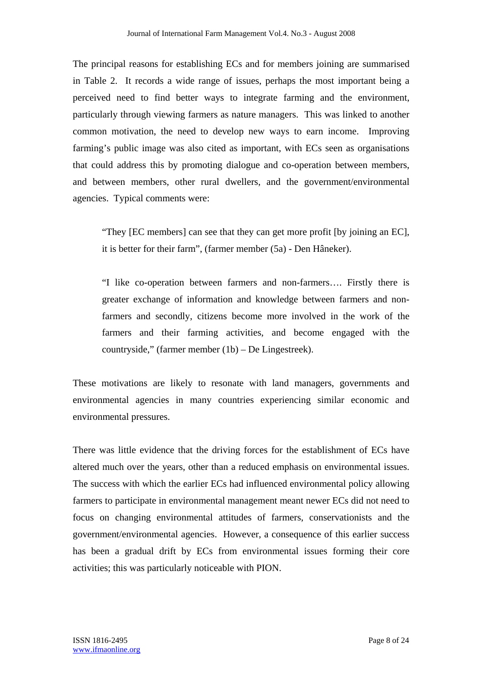The principal reasons for establishing ECs and for members joining are summarised in Table 2. It records a wide range of issues, perhaps the most important being a perceived need to find better ways to integrate farming and the environment, particularly through viewing farmers as nature managers. This was linked to another common motivation, the need to develop new ways to earn income. Improving farming's public image was also cited as important, with ECs seen as organisations that could address this by promoting dialogue and co-operation between members, and between members, other rural dwellers, and the government/environmental agencies. Typical comments were:

"They [EC members] can see that they can get more profit [by joining an EC], it is better for their farm", (farmer member (5a) - Den Hâneker).

"I like co-operation between farmers and non-farmers…. Firstly there is greater exchange of information and knowledge between farmers and nonfarmers and secondly, citizens become more involved in the work of the farmers and their farming activities, and become engaged with the countryside," (farmer member (1b) – De Lingestreek).

These motivations are likely to resonate with land managers, governments and environmental agencies in many countries experiencing similar economic and environmental pressures.

There was little evidence that the driving forces for the establishment of ECs have altered much over the years, other than a reduced emphasis on environmental issues. The success with which the earlier ECs had influenced environmental policy allowing farmers to participate in environmental management meant newer ECs did not need to focus on changing environmental attitudes of farmers, conservationists and the government/environmental agencies. However, a consequence of this earlier success has been a gradual drift by ECs from environmental issues forming their core activities; this was particularly noticeable with PION.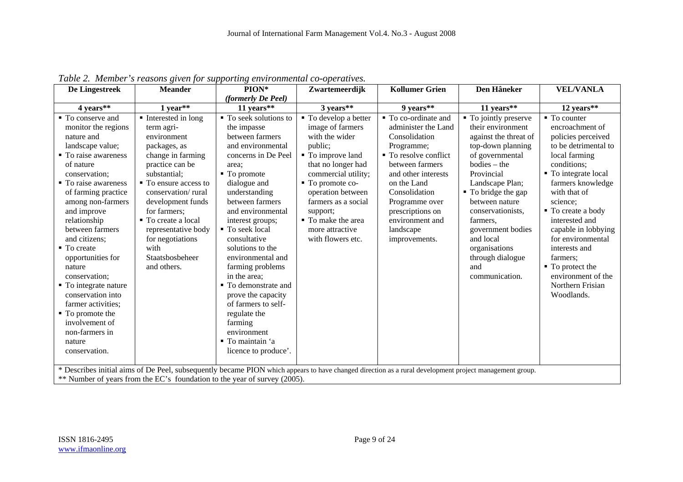| De Lingestreek                                                                                                                                                                                                                                                                                                                                                                                                                                                                                            | <b>Meander</b>                                                                                                                                                                                                                                                                                                          | $PION*$                                                                                                                                                                                                                                                                                                                                                                                                                                                                | Zwartemeerdijk                                                                                                                                                                                                                                                                     | <b>Kollumer Grien</b>                                                                                                                                                                                                                                                | Den Hâneker                                                                                                                                                                                                                                                                                                                              | <b>VEL/VANLA</b>                                                                                                                                                                                                                                                                                                                                                                                 |  |  |
|-----------------------------------------------------------------------------------------------------------------------------------------------------------------------------------------------------------------------------------------------------------------------------------------------------------------------------------------------------------------------------------------------------------------------------------------------------------------------------------------------------------|-------------------------------------------------------------------------------------------------------------------------------------------------------------------------------------------------------------------------------------------------------------------------------------------------------------------------|------------------------------------------------------------------------------------------------------------------------------------------------------------------------------------------------------------------------------------------------------------------------------------------------------------------------------------------------------------------------------------------------------------------------------------------------------------------------|------------------------------------------------------------------------------------------------------------------------------------------------------------------------------------------------------------------------------------------------------------------------------------|----------------------------------------------------------------------------------------------------------------------------------------------------------------------------------------------------------------------------------------------------------------------|------------------------------------------------------------------------------------------------------------------------------------------------------------------------------------------------------------------------------------------------------------------------------------------------------------------------------------------|--------------------------------------------------------------------------------------------------------------------------------------------------------------------------------------------------------------------------------------------------------------------------------------------------------------------------------------------------------------------------------------------------|--|--|
|                                                                                                                                                                                                                                                                                                                                                                                                                                                                                                           |                                                                                                                                                                                                                                                                                                                         | (formerly De Peel)                                                                                                                                                                                                                                                                                                                                                                                                                                                     |                                                                                                                                                                                                                                                                                    |                                                                                                                                                                                                                                                                      |                                                                                                                                                                                                                                                                                                                                          |                                                                                                                                                                                                                                                                                                                                                                                                  |  |  |
| 4 years**                                                                                                                                                                                                                                                                                                                                                                                                                                                                                                 | $1$ vear**                                                                                                                                                                                                                                                                                                              | 11 vears**                                                                                                                                                                                                                                                                                                                                                                                                                                                             | $3$ years**                                                                                                                                                                                                                                                                        | 9 years**                                                                                                                                                                                                                                                            | 11 years $**$                                                                                                                                                                                                                                                                                                                            | 12 years**                                                                                                                                                                                                                                                                                                                                                                                       |  |  |
| • To conserve and<br>monitor the regions<br>nature and<br>landscape value;<br>$\blacksquare$ To raise awareness<br>of nature<br>conservation:<br>• To raise awareness<br>of farming practice<br>among non-farmers<br>and improve<br>relationship<br>between farmers<br>and citizens;<br>$\blacksquare$ To create<br>opportunities for<br>nature<br>conservation:<br>• To integrate nature<br>conservation into<br>farmer activities;<br>$\blacksquare$ To promote the<br>involvement of<br>non-farmers in | Interested in long<br>term agri-<br>environment<br>packages, as<br>change in farming<br>practice can be<br>substantial:<br>• To ensure access to<br>conservation/rural<br>development funds<br>for farmers:<br>• To create a local<br>representative body<br>for negotiations<br>with<br>Staatsbosbeheer<br>and others. | • To seek solutions to<br>the impasse<br>between farmers<br>and environmental<br>concerns in De Peel<br>area:<br>$\blacksquare$ To promote<br>dialogue and<br>understanding<br>between farmers<br>and environmental<br>interest groups;<br>■ To seek local<br>consultative<br>solutions to the<br>environmental and<br>farming problems<br>in the area;<br>■ To demonstrate and<br>prove the capacity<br>of farmers to self-<br>regulate the<br>farming<br>environment | • To develop a better<br>image of farmers<br>with the wider<br>public;<br>■ To improve land<br>that no longer had<br>commercial utility;<br>■ To promote co-<br>operation between<br>farmers as a social<br>support;<br>• To make the area<br>more attractive<br>with flowers etc. | • To co-ordinate and<br>administer the Land<br>Consolidation<br>Programme;<br>• To resolve conflict<br>between farmers<br>and other interests<br>on the Land<br>Consolidation<br>Programme over<br>prescriptions on<br>environment and<br>landscape<br>improvements. | • To jointly preserve<br>their environment<br>against the threat of<br>top-down planning<br>of governmental<br>$bodies - the$<br>Provincial<br>Landscape Plan;<br>• To bridge the gap<br>between nature<br>conservationists.<br>farmers.<br>government bodies<br>and local<br>organisations<br>through dialogue<br>and<br>communication. | $\blacksquare$ To counter<br>encroachment of<br>policies perceived<br>to be detrimental to<br>local farming<br>conditions:<br>• To integrate local<br>farmers knowledge<br>with that of<br>science:<br>• To create a body<br>interested and<br>capable in lobbying<br>for environmental<br>interests and<br>farmers:<br>• To protect the<br>environment of the<br>Northern Frisian<br>Woodlands. |  |  |
| nature<br>conservation.                                                                                                                                                                                                                                                                                                                                                                                                                                                                                   |                                                                                                                                                                                                                                                                                                                         | $\blacksquare$ To maintain 'a<br>licence to produce'.                                                                                                                                                                                                                                                                                                                                                                                                                  |                                                                                                                                                                                                                                                                                    |                                                                                                                                                                                                                                                                      |                                                                                                                                                                                                                                                                                                                                          |                                                                                                                                                                                                                                                                                                                                                                                                  |  |  |
| * Describes initial aims of De Peel, subsequently became PION which appears to have changed direction as a rural development project management group.<br>$**$ Number of vacuation the $EQ$ , foundation to the vecu of survey $(2005)$                                                                                                                                                                                                                                                                   |                                                                                                                                                                                                                                                                                                                         |                                                                                                                                                                                                                                                                                                                                                                                                                                                                        |                                                                                                                                                                                                                                                                                    |                                                                                                                                                                                                                                                                      |                                                                                                                                                                                                                                                                                                                                          |                                                                                                                                                                                                                                                                                                                                                                                                  |  |  |

*Table 2. Member's reasons given for supporting environmental co-operatives.* 

\*\* Number of years from the EC's foundation to the year of survey (2005).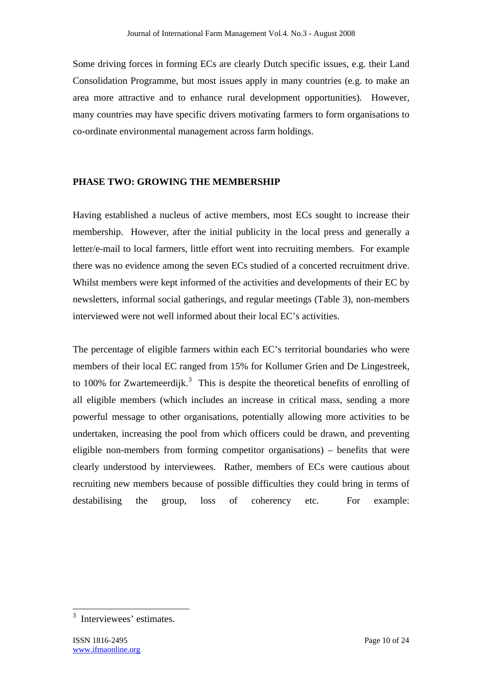Some driving forces in forming ECs are clearly Dutch specific issues, e.g. their Land Consolidation Programme, but most issues apply in many countries (e.g. to make an area more attractive and to enhance rural development opportunities). However, many countries may have specific drivers motivating farmers to form organisations to co-ordinate environmental management across farm holdings.

## **PHASE TWO: GROWING THE MEMBERSHIP**

Having established a nucleus of active members, most ECs sought to increase their membership. However, after the initial publicity in the local press and generally a letter/e-mail to local farmers, little effort went into recruiting members. For example there was no evidence among the seven ECs studied of a concerted recruitment drive. Whilst members were kept informed of the activities and developments of their EC by newsletters, informal social gatherings, and regular meetings (Table 3), non-members interviewed were not well informed about their local EC's activities.

The percentage of eligible farmers within each EC's territorial boundaries who were members of their local EC ranged from 15% for Kollumer Grien and De Lingestreek, to 100% for Zwartemeerdijk.<sup>3</sup> This is despite the theoretical benefits of enrolling of all eligible members (which includes an increase in critical mass, sending a more powerful message to other organisations, potentially allowing more activities to be undertaken, increasing the pool from which officers could be drawn, and preventing eligible non-members from forming competitor organisations) – benefits that were clearly understood by interviewees. Rather, members of ECs were cautious about recruiting new members because of possible difficulties they could bring in terms of destabilising the group, loss of coherency etc. For example:

 $\overline{a}$ 

<sup>&</sup>lt;sup>3</sup> Interviewees' estimates.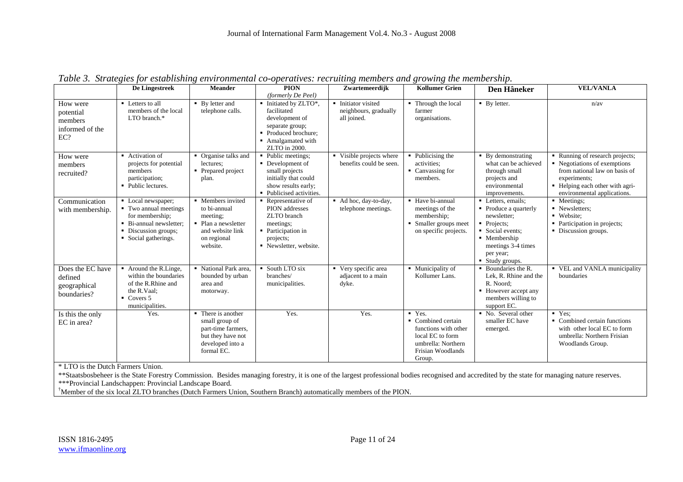|                                                            | De Lingestreek                                                                                                                            | <b>Meander</b>                                                                                                      | <b>PION</b><br>(formerly De Peel)                                                                                                           | Zwartemeerdijk                                              | <b>Kollumer Grien</b>                                                                                                                             | Den Hâneker                                                                                                                                                                    | <b>VEL/VANLA</b>                                                                                                                                                                   |
|------------------------------------------------------------|-------------------------------------------------------------------------------------------------------------------------------------------|---------------------------------------------------------------------------------------------------------------------|---------------------------------------------------------------------------------------------------------------------------------------------|-------------------------------------------------------------|---------------------------------------------------------------------------------------------------------------------------------------------------|--------------------------------------------------------------------------------------------------------------------------------------------------------------------------------|------------------------------------------------------------------------------------------------------------------------------------------------------------------------------------|
| How were<br>potential<br>members<br>informed of the<br>EC? | • Letters to all<br>members of the local<br>LTO branch.*                                                                                  | • By letter and<br>telephone calls.                                                                                 | • Initiated by ZLTO*,<br>facilitated<br>development of<br>separate group;<br>• Produced brochure;<br>• Amalgamated with<br>ZLTO in 2000.    | • Initiator visited<br>neighbours, gradually<br>all joined. | • Through the local<br>farmer<br>organisations.                                                                                                   | $\blacksquare$ By letter.                                                                                                                                                      | n/av                                                                                                                                                                               |
| How were<br>members<br>recruited?                          | • Activation of<br>projects for potential<br>members<br>participation;<br>• Public lectures.                                              | • Organise talks and<br>lectures;<br>• Prepared project<br>plan.                                                    | • Public meetings;<br>• Development of<br>small projects<br>initially that could<br>show results early;<br>• Publicised activities.         | • Visible projects where<br>benefits could be seen.         | $\blacksquare$ Publicising the<br>activities:<br>• Canvassing for<br>members.                                                                     | • By demonstrating<br>what can be achieved<br>through small<br>projects and<br>environmental<br>improvements.                                                                  | • Running of research projects;<br>• Negotiations of exemptions<br>from national law on basis of<br>experiments;<br>• Helping each other with agri-<br>environmental applications. |
| Communication<br>with membership.                          | • Local newspaper;<br>• Two annual meetings<br>for membership;<br>• Bi-annual newsletter;<br>• Discussion groups;<br>• Social gatherings. | • Members invited<br>to bi-annual<br>meeting:<br>• Plan a newsletter<br>and website link<br>on regional<br>website. | $\blacksquare$ Representative of<br>PION addresses<br>ZLTO branch<br>meetings:<br>• Participation in<br>projects;<br>• Newsletter, website. | Ad hoc, day-to-day,<br>telephone meetings.                  | • Have bi-annual<br>meetings of the<br>membership;<br>• Smaller groups meet<br>on specific projects.                                              | • Letters, emails;<br>• Produce a quarterly<br>newsletter;<br>• Projects:<br>Social events;<br>$\blacksquare$ Membership<br>meetings 3-4 times<br>per year;<br>• Study groups. | • Meetings;<br>• Newsletters;<br>• Website:<br>• Participation in projects;<br>• Discussion groups.                                                                                |
| Does the EC have<br>defined<br>geographical<br>boundaries? | • Around the R.Linge,<br>within the boundaries<br>of the R.Rhine and<br>the R.Vaal:<br>$\blacksquare$ Covers 5<br>municipalities.         | • National Park area.<br>bounded by urban<br>area and<br>motorway.                                                  | • South LTO six<br>branches/<br>municipalities.                                                                                             | • Very specific area<br>adjacent to a main<br>dyke.         | • Municipality of<br>Kollumer Lans.                                                                                                               | Boundaries the R.<br>Lek, R. Rhine and the<br>R. Noord:<br>• However accept any<br>members willing to<br>support EC.                                                           | • VEL and VANLA municipality<br>boundaries                                                                                                                                         |
| Is this the only<br>EC in area?                            | Yes.                                                                                                                                      | • There is another<br>small group of<br>part-time farmers,<br>but they have not<br>developed into a<br>formal EC.   | Yes.                                                                                                                                        | Yes.                                                        | $\overline{\text{Y}}$ Yes.<br>• Combined certain<br>functions with other<br>local EC to form<br>umbrella: Northern<br>Frisian Woodlands<br>Group. | • No. Several other<br>smaller EC have<br>emerged.                                                                                                                             | $Y$ es:<br>• Combined certain functions<br>with other local EC to form<br>umbrella: Northern Frisian<br>Woodlands Group.                                                           |

*Table 3. Strategies for establishing environmental co-operatives: recruiting members and growing the membership.* 

\* LTO is the Dutch Farmers Union.

\*\*Staatsbosbeheer is the State Forestry Commission. Besides managing forestry, it is one of the largest professional bodies recognised and accredited by the state for managing nature reserves.<br>\*\*\*Provincial Landschappen: P

<sup>†</sup>Member of the six local ZLTO branches (Dutch Farmers Union, Southern Branch) automatically members of the PION.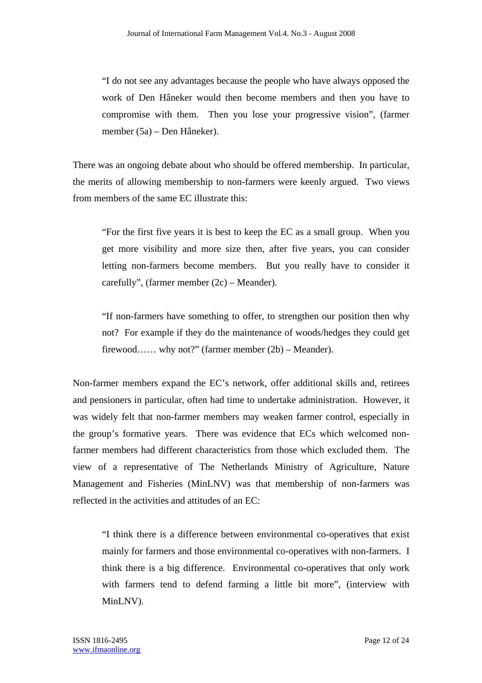"I do not see any advantages because the people who have always opposed the work of Den Hâneker would then become members and then you have to compromise with them. Then you lose your progressive vision", (farmer member (5a) – Den Hâneker).

There was an ongoing debate about who should be offered membership. In particular, the merits of allowing membership to non-farmers were keenly argued. Two views from members of the same EC illustrate this:

"For the first five years it is best to keep the EC as a small group. When you get more visibility and more size then, after five years, you can consider letting non-farmers become members. But you really have to consider it carefully", (farmer member (2c) – Meander).

"If non-farmers have something to offer, to strengthen our position then why not? For example if they do the maintenance of woods/hedges they could get firewood…… why not?" (farmer member (2b) – Meander).

Non-farmer members expand the EC's network, offer additional skills and, retirees and pensioners in particular, often had time to undertake administration. However, it was widely felt that non-farmer members may weaken farmer control, especially in the group's formative years. There was evidence that ECs which welcomed nonfarmer members had different characteristics from those which excluded them. The view of a representative of The Netherlands Ministry of Agriculture, Nature Management and Fisheries (MinLNV) was that membership of non-farmers was reflected in the activities and attitudes of an EC:

"I think there is a difference between environmental co-operatives that exist mainly for farmers and those environmental co-operatives with non-farmers. I think there is a big difference. Environmental co-operatives that only work with farmers tend to defend farming a little bit more", (interview with MinLNV).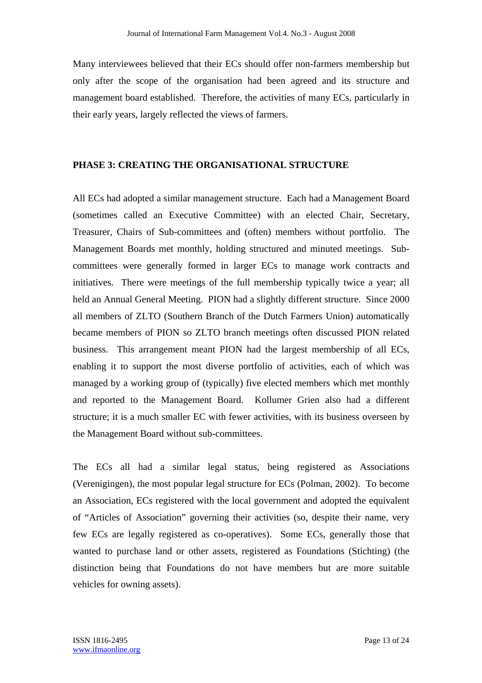Many interviewees believed that their ECs should offer non-farmers membership but only after the scope of the organisation had been agreed and its structure and management board established. Therefore, the activities of many ECs, particularly in their early years, largely reflected the views of farmers.

#### **PHASE 3: CREATING THE ORGANISATIONAL STRUCTURE**

All ECs had adopted a similar management structure. Each had a Management Board (sometimes called an Executive Committee) with an elected Chair, Secretary, Treasurer, Chairs of Sub-committees and (often) members without portfolio. The Management Boards met monthly, holding structured and minuted meetings. Subcommittees were generally formed in larger ECs to manage work contracts and initiatives. There were meetings of the full membership typically twice a year; all held an Annual General Meeting. PION had a slightly different structure. Since 2000 all members of ZLTO (Southern Branch of the Dutch Farmers Union) automatically became members of PION so ZLTO branch meetings often discussed PION related business. This arrangement meant PION had the largest membership of all ECs, enabling it to support the most diverse portfolio of activities, each of which was managed by a working group of (typically) five elected members which met monthly and reported to the Management Board. Kollumer Grien also had a different structure; it is a much smaller EC with fewer activities, with its business overseen by the Management Board without sub-committees.

The ECs all had a similar legal status, being registered as Associations (Verenigingen), the most popular legal structure for ECs (Polman, 2002). To become an Association, ECs registered with the local government and adopted the equivalent of "Articles of Association" governing their activities (so, despite their name, very few ECs are legally registered as co-operatives). Some ECs, generally those that wanted to purchase land or other assets, registered as Foundations (Stichting) (the distinction being that Foundations do not have members but are more suitable vehicles for owning assets).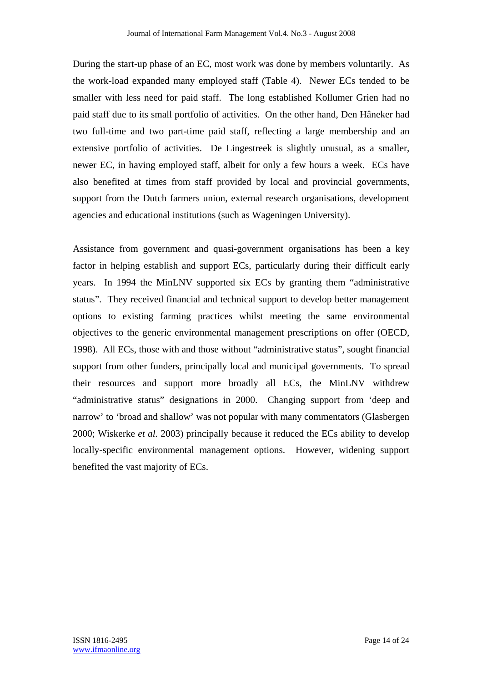During the start-up phase of an EC, most work was done by members voluntarily. As the work-load expanded many employed staff (Table 4). Newer ECs tended to be smaller with less need for paid staff. The long established Kollumer Grien had no paid staff due to its small portfolio of activities. On the other hand, Den Hâneker had two full-time and two part-time paid staff, reflecting a large membership and an extensive portfolio of activities. De Lingestreek is slightly unusual, as a smaller, newer EC, in having employed staff, albeit for only a few hours a week. ECs have also benefited at times from staff provided by local and provincial governments, support from the Dutch farmers union, external research organisations, development agencies and educational institutions (such as Wageningen University).

Assistance from government and quasi-government organisations has been a key factor in helping establish and support ECs, particularly during their difficult early years. In 1994 the MinLNV supported six ECs by granting them "administrative status". They received financial and technical support to develop better management options to existing farming practices whilst meeting the same environmental objectives to the generic environmental management prescriptions on offer (OECD, 1998). All ECs, those with and those without "administrative status", sought financial support from other funders, principally local and municipal governments. To spread their resources and support more broadly all ECs, the MinLNV withdrew "administrative status" designations in 2000. Changing support from 'deep and narrow' to 'broad and shallow' was not popular with many commentators (Glasbergen 2000; Wiskerke *et al.* 2003) principally because it reduced the ECs ability to develop locally-specific environmental management options. However, widening support benefited the vast majority of ECs.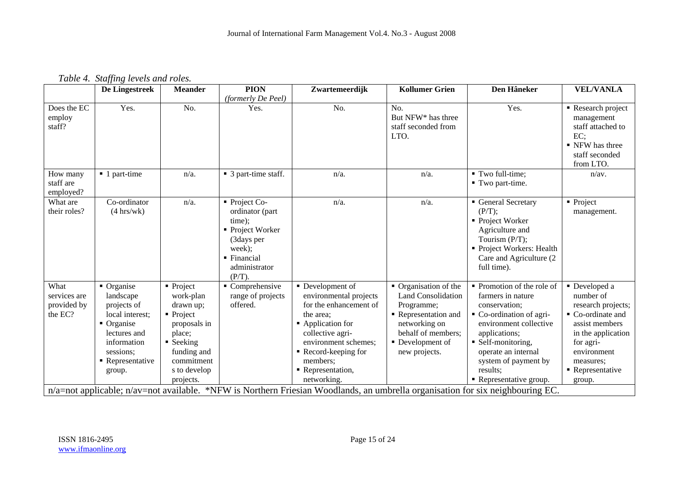| Table 4. Staffing levels and roles. |  |  |  |  |
|-------------------------------------|--|--|--|--|
|-------------------------------------|--|--|--|--|

|                                                                                                                                | De Lingestreek                                                                                                                                    | <b>Meander</b>                                                                                                                                                                           | <b>PION</b>                                                                                                                       | Zwartemeerdijk                                                                                                                                                                                                           | <b>Kollumer Grien</b>                                                                                                                                            | Den Hâneker                                                                                                                                                                                                                                       | <b>VEL/VANLA</b>                                                                                                                                                                                |  |
|--------------------------------------------------------------------------------------------------------------------------------|---------------------------------------------------------------------------------------------------------------------------------------------------|------------------------------------------------------------------------------------------------------------------------------------------------------------------------------------------|-----------------------------------------------------------------------------------------------------------------------------------|--------------------------------------------------------------------------------------------------------------------------------------------------------------------------------------------------------------------------|------------------------------------------------------------------------------------------------------------------------------------------------------------------|---------------------------------------------------------------------------------------------------------------------------------------------------------------------------------------------------------------------------------------------------|-------------------------------------------------------------------------------------------------------------------------------------------------------------------------------------------------|--|
| Does the EC<br>employ<br>staff?                                                                                                | Yes.                                                                                                                                              | No.                                                                                                                                                                                      | (formerly De Peel)<br>Yes.                                                                                                        | No.                                                                                                                                                                                                                      | No.<br>But NFW <sup>*</sup> has three<br>staff seconded from<br>LTO.                                                                                             | Yes.                                                                                                                                                                                                                                              | Research project<br>management<br>staff attached to<br>EC:<br>• NFW has three<br>staff seconded<br>from LTO.                                                                                    |  |
| How many<br>staff are<br>employed?                                                                                             | ■ 1 part-time                                                                                                                                     | $n/a$ .                                                                                                                                                                                  | ■ 3 part-time staff.                                                                                                              | $n/a$ .                                                                                                                                                                                                                  | $n/a$ .                                                                                                                                                          | ■ Two full-time;<br>■ Two part-time.                                                                                                                                                                                                              | n/av.                                                                                                                                                                                           |  |
| What are<br>their roles?                                                                                                       | Co-ordinator<br>$(4 \text{ hrs}/\text{wk})$                                                                                                       | $n/a$ .                                                                                                                                                                                  | Project Co-<br>ordinator (part<br>time);<br>■ Project Worker<br>(3days per<br>week);<br>• Financial<br>administrator<br>$(P/T)$ . | $n/a$ .                                                                                                                                                                                                                  | $n/a$ .                                                                                                                                                          | General Secretary<br>(P/T);<br>• Project Worker<br>Agriculture and<br>Tourism (P/T);<br>• Project Workers: Health<br>Care and Agriculture (2)<br>full time).                                                                                      | $\blacksquare$ Project<br>management.                                                                                                                                                           |  |
| What<br>services are<br>provided by<br>the EC?                                                                                 | • Organise<br>landscape<br>projects of<br>local interest;<br>• Organise<br>lectures and<br>information<br>sessions;<br>• Representative<br>group. | $\blacksquare$ Project<br>work-plan<br>drawn up;<br>$\blacksquare$ Project<br>proposals in<br>place;<br>$\blacksquare$ Seeking<br>funding and<br>commitment<br>s to develop<br>projects. | $\blacksquare$ Comprehensive<br>range of projects<br>offered.                                                                     | • Development of<br>environmental projects<br>for the enhancement of<br>the area:<br>• Application for<br>collective agri-<br>environment schemes;<br>Record-keeping for<br>members;<br>• Representation,<br>networking. | • Organisation of the<br><b>Land Consolidation</b><br>Programme;<br>Representation and<br>networking on<br>behalf of members;<br>Development of<br>new projects. | • Promotion of the role of<br>farmers in nature<br>conservation;<br>• Co-ordination of agri-<br>environment collective<br>applications;<br>• Self-monitoring,<br>operate an internal<br>system of payment by<br>results;<br>Representative group. | • Developed a<br>number of<br>research projects;<br>Co-ordinate and<br>assist members<br>in the application<br>for agri-<br>environment<br>measures;<br>$\blacksquare$ Representative<br>group. |  |
| n/a=not applicable; n/av=not available. *NFW is Northern Friesian Woodlands, an umbrella organisation for six neighbouring EC. |                                                                                                                                                   |                                                                                                                                                                                          |                                                                                                                                   |                                                                                                                                                                                                                          |                                                                                                                                                                  |                                                                                                                                                                                                                                                   |                                                                                                                                                                                                 |  |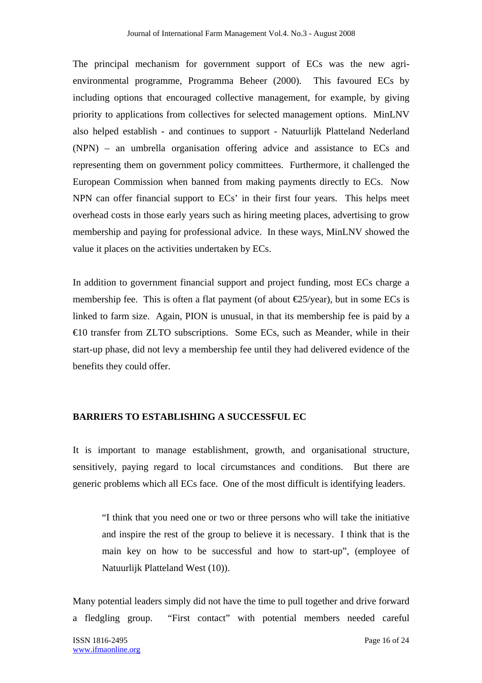The principal mechanism for government support of ECs was the new agrienvironmental programme, Programma Beheer (2000). This favoured ECs by including options that encouraged collective management, for example, by giving priority to applications from collectives for selected management options. MinLNV also helped establish - and continues to support - Natuurlijk Platteland Nederland (NPN) – an umbrella organisation offering advice and assistance to ECs and representing them on government policy committees. Furthermore, it challenged the European Commission when banned from making payments directly to ECs. Now NPN can offer financial support to ECs' in their first four years. This helps meet overhead costs in those early years such as hiring meeting places, advertising to grow membership and paying for professional advice. In these ways, MinLNV showed the value it places on the activities undertaken by ECs.

In addition to government financial support and project funding, most ECs charge a membership fee. This is often a flat payment (of about  $\epsilon$ 25/year), but in some ECs is linked to farm size. Again, PION is unusual, in that its membership fee is paid by a €10 transfer from ZLTO subscriptions. Some ECs, such as Meander, while in their start-up phase, did not levy a membership fee until they had delivered evidence of the benefits they could offer.

## **BARRIERS TO ESTABLISHING A SUCCESSFUL EC**

It is important to manage establishment, growth, and organisational structure, sensitively, paying regard to local circumstances and conditions. But there are generic problems which all ECs face. One of the most difficult is identifying leaders.

"I think that you need one or two or three persons who will take the initiative and inspire the rest of the group to believe it is necessary. I think that is the main key on how to be successful and how to start-up", (employee of Natuurlijk Platteland West (10)).

Many potential leaders simply did not have the time to pull together and drive forward a fledgling group. "First contact" with potential members needed careful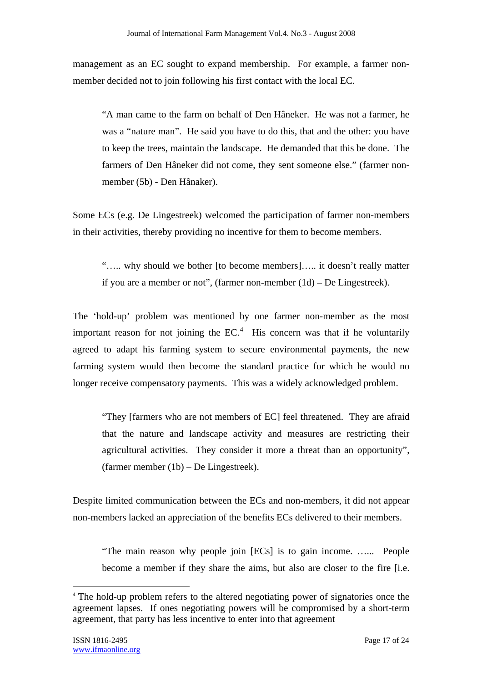management as an EC sought to expand membership. For example, a farmer nonmember decided not to join following his first contact with the local EC.

"A man came to the farm on behalf of Den Hâneker. He was not a farmer, he was a "nature man". He said you have to do this, that and the other: you have to keep the trees, maintain the landscape. He demanded that this be done. The farmers of Den Hâneker did not come, they sent someone else." (farmer nonmember (5b) - Den Hânaker).

Some ECs (e.g. De Lingestreek) welcomed the participation of farmer non-members in their activities, thereby providing no incentive for them to become members.

"….. why should we bother [to become members]….. it doesn't really matter if you are a member or not", (farmer non-member (1d) – De Lingestreek).

The 'hold-up' problem was mentioned by one farmer non-member as the most important reason for not joining the  $EC<sup>4</sup>$ . His concern was that if he voluntarily agreed to adapt his farming system to secure environmental payments, the new farming system would then become the standard practice for which he would no longer receive compensatory payments. This was a widely acknowledged problem.

"They [farmers who are not members of EC] feel threatened. They are afraid that the nature and landscape activity and measures are restricting their agricultural activities. They consider it more a threat than an opportunity", (farmer member (1b) – De Lingestreek).

Despite limited communication between the ECs and non-members, it did not appear non-members lacked an appreciation of the benefits ECs delivered to their members.

"The main reason why people join [ECs] is to gain income. …... People become a member if they share the aims, but also are closer to the fire [i.e.

 $\overline{a}$ 

<sup>4</sup> The hold-up problem refers to the altered negotiating power of signatories once the agreement lapses. If ones negotiating powers will be compromised by a short-term agreement, that party has less incentive to enter into that agreement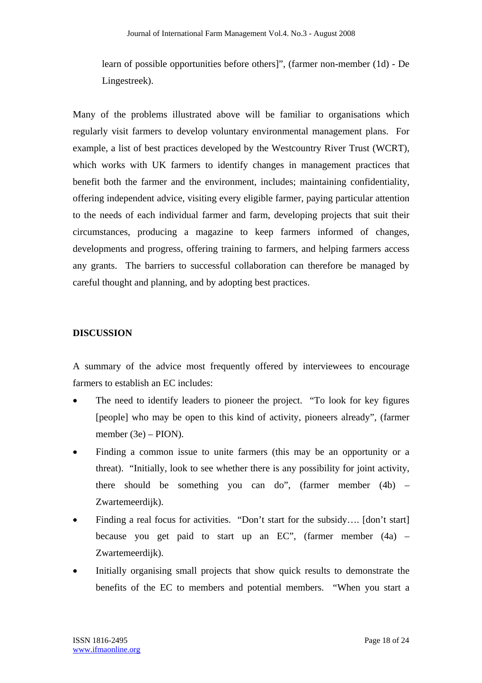learn of possible opportunities before others]", (farmer non-member (1d) - De Lingestreek).

Many of the problems illustrated above will be familiar to organisations which regularly visit farmers to develop voluntary environmental management plans. For example, a list of best practices developed by the Westcountry River Trust (WCRT), which works with UK farmers to identify changes in management practices that benefit both the farmer and the environment, includes; maintaining confidentiality, offering independent advice, visiting every eligible farmer, paying particular attention to the needs of each individual farmer and farm, developing projects that suit their circumstances, producing a magazine to keep farmers informed of changes, developments and progress, offering training to farmers, and helping farmers access any grants. The barriers to successful collaboration can therefore be managed by careful thought and planning, and by adopting best practices.

#### **DISCUSSION**

A summary of the advice most frequently offered by interviewees to encourage farmers to establish an EC includes:

- The need to identify leaders to pioneer the project. "To look for key figures [people] who may be open to this kind of activity, pioneers already", (farmer member (3e) – PION).
- Finding a common issue to unite farmers (this may be an opportunity or a threat). "Initially, look to see whether there is any possibility for joint activity, there should be something you can do", (farmer member (4b) – Zwartemeerdijk).
- Finding a real focus for activities. "Don't start for the subsidy.... [don't start] because you get paid to start up an  $EC$ ", (farmer member  $(4a)$  – Zwartemeerdijk).
- Initially organising small projects that show quick results to demonstrate the benefits of the EC to members and potential members. "When you start a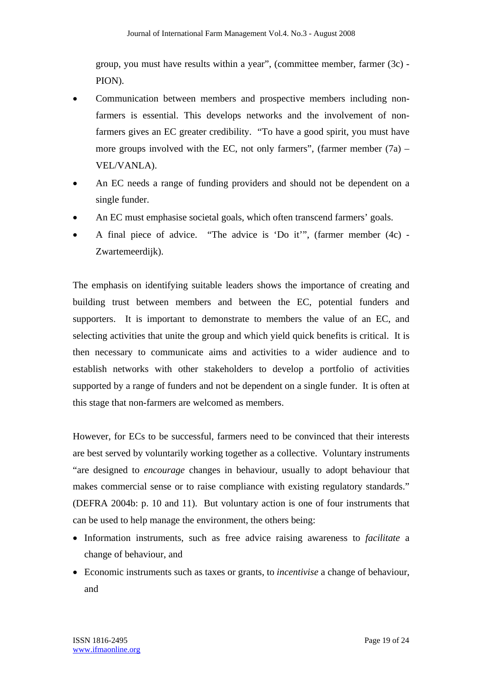group, you must have results within a year", (committee member, farmer (3c) - PION).

- Communication between members and prospective members including nonfarmers is essential. This develops networks and the involvement of nonfarmers gives an EC greater credibility. "To have a good spirit, you must have more groups involved with the EC, not only farmers", (farmer member  $(7a)$  – VEL/VANLA).
- An EC needs a range of funding providers and should not be dependent on a single funder.
- An EC must emphasise societal goals, which often transcend farmers' goals.
- A final piece of advice. "The advice is 'Do it'", (farmer member (4c) Zwartemeerdijk).

The emphasis on identifying suitable leaders shows the importance of creating and building trust between members and between the EC, potential funders and supporters. It is important to demonstrate to members the value of an EC, and selecting activities that unite the group and which yield quick benefits is critical. It is then necessary to communicate aims and activities to a wider audience and to establish networks with other stakeholders to develop a portfolio of activities supported by a range of funders and not be dependent on a single funder. It is often at this stage that non-farmers are welcomed as members.

However, for ECs to be successful, farmers need to be convinced that their interests are best served by voluntarily working together as a collective. Voluntary instruments "are designed to *encourage* changes in behaviour, usually to adopt behaviour that makes commercial sense or to raise compliance with existing regulatory standards." (DEFRA 2004b: p. 10 and 11). But voluntary action is one of four instruments that can be used to help manage the environment, the others being:

- Information instruments, such as free advice raising awareness to *facilitate* a change of behaviour, and
- Economic instruments such as taxes or grants, to *incentivise* a change of behaviour, and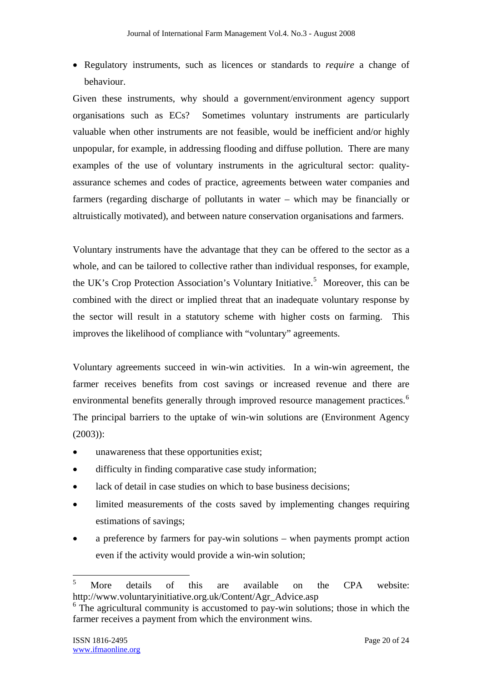• Regulatory instruments, such as licences or standards to *require* a change of behaviour.

Given these instruments, why should a government/environment agency support organisations such as ECs? Sometimes voluntary instruments are particularly valuable when other instruments are not feasible, would be inefficient and/or highly unpopular, for example, in addressing flooding and diffuse pollution. There are many examples of the use of voluntary instruments in the agricultural sector: qualityassurance schemes and codes of practice, agreements between water companies and farmers (regarding discharge of pollutants in water – which may be financially or altruistically motivated), and between nature conservation organisations and farmers.

Voluntary instruments have the advantage that they can be offered to the sector as a whole, and can be tailored to collective rather than individual responses, for example, the UK's Crop Protection Association's Voluntary Initiative.<sup>5</sup> Moreover, this can be combined with the direct or implied threat that an inadequate voluntary response by the sector will result in a statutory scheme with higher costs on farming. This improves the likelihood of compliance with "voluntary" agreements.

Voluntary agreements succeed in win-win activities. In a win-win agreement, the farmer receives benefits from cost savings or increased revenue and there are environmental benefits generally through improved resource management practices.<sup>6</sup> The principal barriers to the uptake of win-win solutions are (Environment Agency (2003)):

- unawareness that these opportunities exist;
- difficulty in finding comparative case study information;
- lack of detail in case studies on which to base business decisions;
- limited measurements of the costs saved by implementing changes requiring estimations of savings;
- a preference by farmers for pay-win solutions when payments prompt action even if the activity would provide a win-win solution;

 $\overline{a}$ 

<sup>5</sup> More details of this are available on the CPA website: http://www.voluntaryinitiative.org.uk/Content/Agr\_Advice.asp

<sup>&</sup>lt;sup>6</sup> The agricultural community is accustomed to pay-win solutions; those in which the farmer receives a payment from which the environment wins.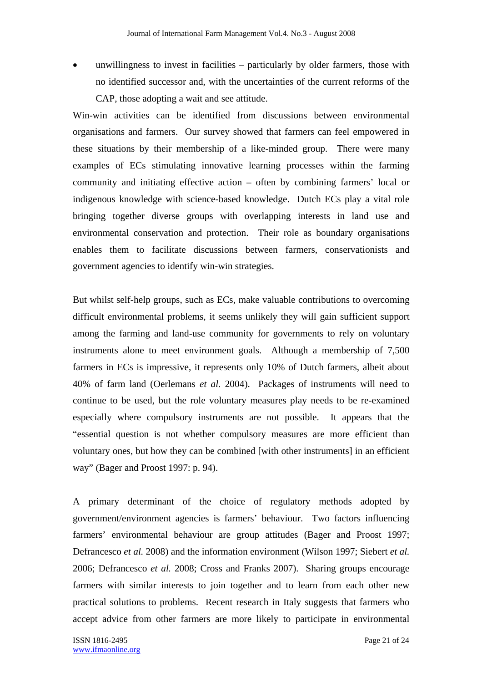unwillingness to invest in facilities  $-$  particularly by older farmers, those with no identified successor and, with the uncertainties of the current reforms of the CAP, those adopting a wait and see attitude.

Win-win activities can be identified from discussions between environmental organisations and farmers. Our survey showed that farmers can feel empowered in these situations by their membership of a like-minded group. There were many examples of ECs stimulating innovative learning processes within the farming community and initiating effective action – often by combining farmers' local or indigenous knowledge with science-based knowledge. Dutch ECs play a vital role bringing together diverse groups with overlapping interests in land use and environmental conservation and protection. Their role as boundary organisations enables them to facilitate discussions between farmers, conservationists and government agencies to identify win-win strategies.

But whilst self-help groups, such as ECs, make valuable contributions to overcoming difficult environmental problems, it seems unlikely they will gain sufficient support among the farming and land-use community for governments to rely on voluntary instruments alone to meet environment goals. Although a membership of 7,500 farmers in ECs is impressive, it represents only 10% of Dutch farmers, albeit about 40% of farm land (Oerlemans *et al.* 2004). Packages of instruments will need to continue to be used, but the role voluntary measures play needs to be re-examined especially where compulsory instruments are not possible. It appears that the "essential question is not whether compulsory measures are more efficient than voluntary ones, but how they can be combined [with other instruments] in an efficient way" (Bager and Proost 1997: p. 94).

A primary determinant of the choice of regulatory methods adopted by government/environment agencies is farmers' behaviour. Two factors influencing farmers' environmental behaviour are group attitudes (Bager and Proost 1997; Defrancesco *et al.* 2008) and the information environment (Wilson 1997; Siebert *et al.* 2006; Defrancesco *et al.* 2008; Cross and Franks 2007). Sharing groups encourage farmers with similar interests to join together and to learn from each other new practical solutions to problems. Recent research in Italy suggests that farmers who accept advice from other farmers are more likely to participate in environmental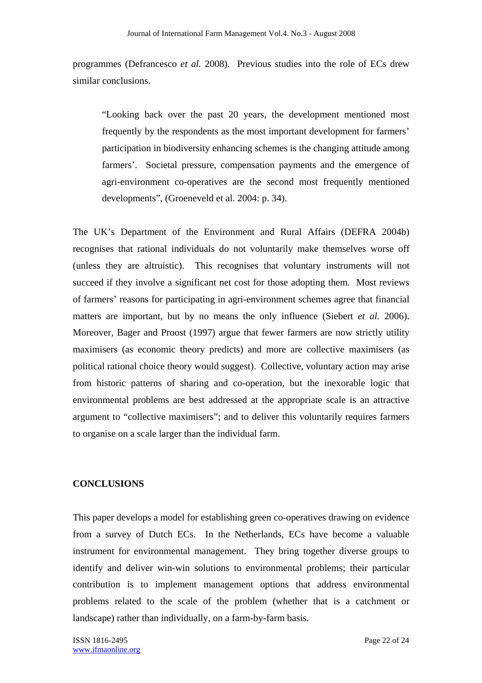programmes (Defrancesco *et al.* 2008). Previous studies into the role of ECs drew similar conclusions.

"Looking back over the past 20 years, the development mentioned most frequently by the respondents as the most important development for farmers' participation in biodiversity enhancing schemes is the changing attitude among farmers'. Societal pressure, compensation payments and the emergence of agri-environment co-operatives are the second most frequently mentioned developments", (Groeneveld et al. 2004: p. 34).

The UK's Department of the Environment and Rural Affairs (DEFRA 2004b) recognises that rational individuals do not voluntarily make themselves worse off (unless they are altruistic). This recognises that voluntary instruments will not succeed if they involve a significant net cost for those adopting them. Most reviews of farmers' reasons for participating in agri-environment schemes agree that financial matters are important, but by no means the only influence (Siebert *et al.* 2006). Moreover, Bager and Proost (1997) argue that fewer farmers are now strictly utility maximisers (as economic theory predicts) and more are collective maximisers (as political rational choice theory would suggest). Collective, voluntary action may arise from historic patterns of sharing and co-operation, but the inexorable logic that environmental problems are best addressed at the appropriate scale is an attractive argument to "collective maximisers"; and to deliver this voluntarily requires farmers to organise on a scale larger than the individual farm.

## **CONCLUSIONS**

This paper develops a model for establishing green co-operatives drawing on evidence from a survey of Dutch ECs. In the Netherlands, ECs have become a valuable instrument for environmental management. They bring together diverse groups to identify and deliver win-win solutions to environmental problems; their particular contribution is to implement management options that address environmental problems related to the scale of the problem (whether that is a catchment or landscape) rather than individually, on a farm-by-farm basis.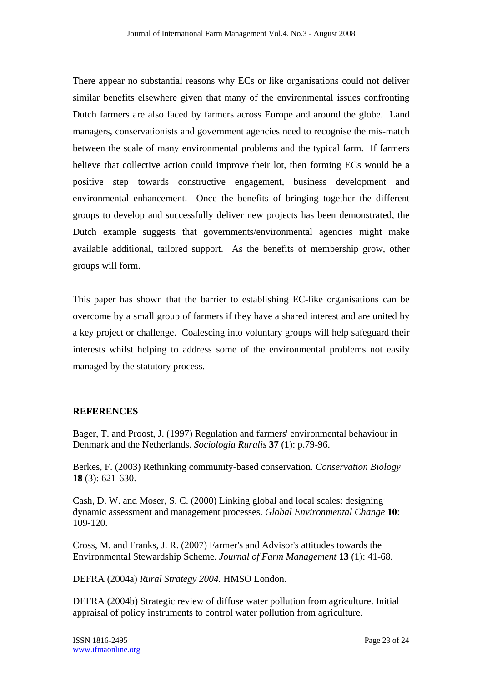There appear no substantial reasons why ECs or like organisations could not deliver similar benefits elsewhere given that many of the environmental issues confronting Dutch farmers are also faced by farmers across Europe and around the globe. Land managers, conservationists and government agencies need to recognise the mis-match between the scale of many environmental problems and the typical farm. If farmers believe that collective action could improve their lot, then forming ECs would be a positive step towards constructive engagement, business development and environmental enhancement. Once the benefits of bringing together the different groups to develop and successfully deliver new projects has been demonstrated, the Dutch example suggests that governments/environmental agencies might make available additional, tailored support. As the benefits of membership grow, other groups will form.

This paper has shown that the barrier to establishing EC-like organisations can be overcome by a small group of farmers if they have a shared interest and are united by a key project or challenge. Coalescing into voluntary groups will help safeguard their interests whilst helping to address some of the environmental problems not easily managed by the statutory process.

## **REFERENCES**

Bager, T. and Proost, J. (1997) Regulation and farmers' environmental behaviour in Denmark and the Netherlands. *Sociologia Ruralis* **37** (1): p.79-96.

Berkes, F. (2003) Rethinking community-based conservation. *Conservation Biology* **18** (3): 621-630.

Cash, D. W. and Moser, S. C. (2000) Linking global and local scales: designing dynamic assessment and management processes. *Global Environmental Change* **10**: 109-120.

Cross, M. and Franks, J. R. (2007) Farmer's and Advisor's attitudes towards the Environmental Stewardship Scheme. *Journal of Farm Management* **13** (1): 41-68.

DEFRA (2004a) *Rural Strategy 2004.* HMSO London.

DEFRA (2004b) Strategic review of diffuse water pollution from agriculture. Initial appraisal of policy instruments to control water pollution from agriculture.